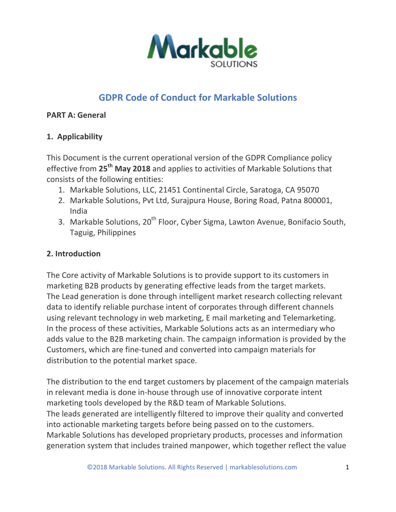

# **GDPR Code of Conduct for Markable Solutions**

#### **PART A: General**

## **1. Applicability**

This Document is the current operational version of the GDPR Compliance policy effective from 25<sup>th</sup> May 2018 and applies to activities of Markable Solutions that consists of the following entities:

- 1. Markable Solutions, LLC, 21451 Continental Circle, Saratoga, CA 95070
- 2. Markable Solutions, Pvt Ltd, Surajpura House, Boring Road, Patna 800001, India
- 3. Markable Solutions, 20<sup>th</sup> Floor, Cyber Sigma, Lawton Avenue, Bonifacio South, Taguig, Philippines

### **2. Introduction**

The Core activity of Markable Solutions is to provide support to its customers in marketing B2B products by generating effective leads from the target markets. The Lead generation is done through intelligent market research collecting relevant data to identify reliable purchase intent of corporates through different channels using relevant technology in web marketing, E mail marketing and Telemarketing. In the process of these activities, Markable Solutions acts as an intermediary who adds value to the B2B marketing chain. The campaign information is provided by the Customers, which are fine-tuned and converted into campaign materials for distribution to the potential market space.

The distribution to the end target customers by placement of the campaign materials in relevant media is done in-house through use of innovative corporate intent marketing tools developed by the R&D team of Markable Solutions. The leads generated are intelligently filtered to improve their quality and converted into actionable marketing targets before being passed on to the customers. Markable Solutions has developed proprietary products, processes and information generation system that includes trained manpower, which together reflect the value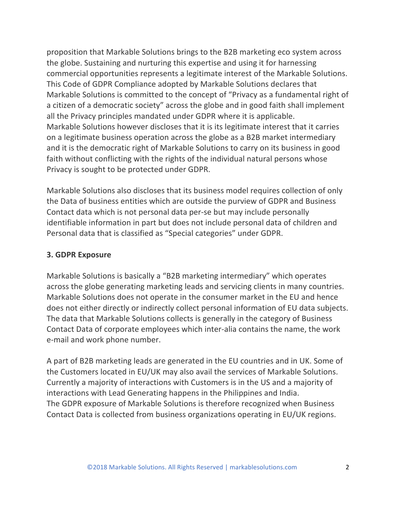proposition that Markable Solutions brings to the B2B marketing eco system across the globe. Sustaining and nurturing this expertise and using it for harnessing commercial opportunities represents a legitimate interest of the Markable Solutions. This Code of GDPR Compliance adopted by Markable Solutions declares that Markable Solutions is committed to the concept of "Privacy as a fundamental right of a citizen of a democratic society" across the globe and in good faith shall implement all the Privacy principles mandated under GDPR where it is applicable. Markable Solutions however discloses that it is its legitimate interest that it carries on a legitimate business operation across the globe as a B2B market intermediary and it is the democratic right of Markable Solutions to carry on its business in good faith without conflicting with the rights of the individual natural persons whose Privacy is sought to be protected under GDPR.

Markable Solutions also discloses that its business model requires collection of only the Data of business entities which are outside the purview of GDPR and Business Contact data which is not personal data per-se but may include personally identifiable information in part but does not include personal data of children and Personal data that is classified as "Special categories" under GDPR.

#### **3. GDPR Exposure**

Markable Solutions is basically a "B2B marketing intermediary" which operates across the globe generating marketing leads and servicing clients in many countries. Markable Solutions does not operate in the consumer market in the EU and hence does not either directly or indirectly collect personal information of EU data subjects. The data that Markable Solutions collects is generally in the category of Business Contact Data of corporate employees which inter-alia contains the name, the work e-mail and work phone number.

A part of B2B marketing leads are generated in the EU countries and in UK. Some of the Customers located in EU/UK may also avail the services of Markable Solutions. Currently a majority of interactions with Customers is in the US and a majority of interactions with Lead Generating happens in the Philippines and India. The GDPR exposure of Markable Solutions is therefore recognized when Business Contact Data is collected from business organizations operating in EU/UK regions.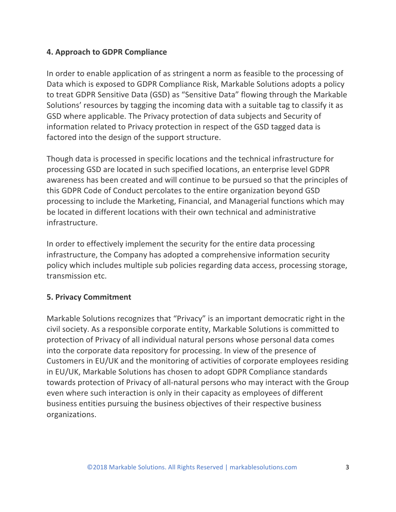#### **4. Approach to GDPR Compliance**

In order to enable application of as stringent a norm as feasible to the processing of Data which is exposed to GDPR Compliance Risk, Markable Solutions adopts a policy to treat GDPR Sensitive Data (GSD) as "Sensitive Data" flowing through the Markable Solutions' resources by tagging the incoming data with a suitable tag to classify it as GSD where applicable. The Privacy protection of data subjects and Security of information related to Privacy protection in respect of the GSD tagged data is factored into the design of the support structure.

Though data is processed in specific locations and the technical infrastructure for processing GSD are located in such specified locations, an enterprise level GDPR awareness has been created and will continue to be pursued so that the principles of this GDPR Code of Conduct percolates to the entire organization beyond GSD processing to include the Marketing, Financial, and Managerial functions which may be located in different locations with their own technical and administrative infrastructure.

In order to effectively implement the security for the entire data processing infrastructure, the Company has adopted a comprehensive information security policy which includes multiple sub policies regarding data access, processing storage, transmission etc.

#### **5. Privacy Commitment**

Markable Solutions recognizes that "Privacy" is an important democratic right in the civil society. As a responsible corporate entity, Markable Solutions is committed to protection of Privacy of all individual natural persons whose personal data comes into the corporate data repository for processing. In view of the presence of Customers in EU/UK and the monitoring of activities of corporate employees residing in EU/UK, Markable Solutions has chosen to adopt GDPR Compliance standards towards protection of Privacy of all-natural persons who may interact with the Group even where such interaction is only in their capacity as employees of different business entities pursuing the business objectives of their respective business organizations.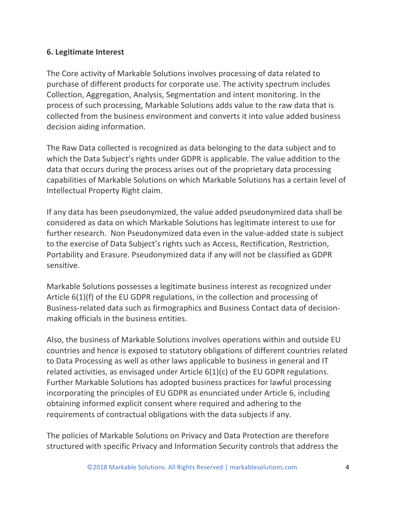#### **6. Legitimate Interest**

The Core activity of Markable Solutions involves processing of data related to purchase of different products for corporate use. The activity spectrum includes Collection, Aggregation, Analysis, Segmentation and intent monitoring. In the process of such processing, Markable Solutions adds value to the raw data that is collected from the business environment and converts it into value added business decision aiding information.

The Raw Data collected is recognized as data belonging to the data subject and to which the Data Subject's rights under GDPR is applicable. The value addition to the data that occurs during the process arises out of the proprietary data processing capabilities of Markable Solutions on which Markable Solutions has a certain level of Intellectual Property Right claim.

If any data has been pseudonymized, the value added pseudonymized data shall be considered as data on which Markable Solutions has legitimate interest to use for further research. Non Pseudonymized data even in the value-added state is subject to the exercise of Data Subject's rights such as Access, Rectification, Restriction, Portability and Erasure. Pseudonymized data if any will not be classified as GDPR sensitive.

Markable Solutions possesses a legitimate business interest as recognized under Article  $6(1)(f)$  of the EU GDPR regulations, in the collection and processing of Business-related data such as firmographics and Business Contact data of decisionmaking officials in the business entities.

Also, the business of Markable Solutions involves operations within and outside EU countries and hence is exposed to statutory obligations of different countries related to Data Processing as well as other laws applicable to business in general and IT related activities, as envisaged under Article  $6(1)(c)$  of the EU GDPR regulations. Further Markable Solutions has adopted business practices for lawful processing incorporating the principles of EU GDPR as enunciated under Article 6, including obtaining informed explicit consent where required and adhering to the requirements of contractual obligations with the data subjects if any.

The policies of Markable Solutions on Privacy and Data Protection are therefore structured with specific Privacy and Information Security controls that address the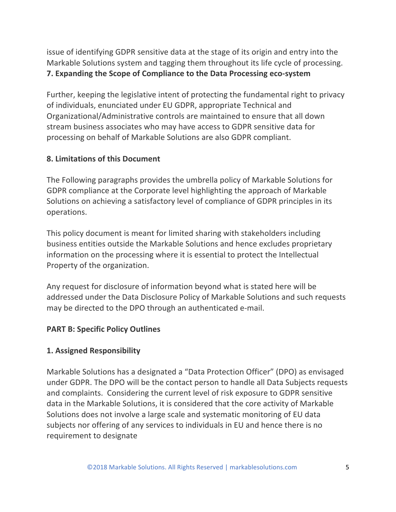issue of identifying GDPR sensitive data at the stage of its origin and entry into the Markable Solutions system and tagging them throughout its life cycle of processing. **7. Expanding the Scope of Compliance to the Data Processing eco-system**

Further, keeping the legislative intent of protecting the fundamental right to privacy of individuals, enunciated under EU GDPR, appropriate Technical and Organizational/Administrative controls are maintained to ensure that all down stream business associates who may have access to GDPR sensitive data for processing on behalf of Markable Solutions are also GDPR compliant.

## **8. Limitations of this Document**

The Following paragraphs provides the umbrella policy of Markable Solutions for GDPR compliance at the Corporate level highlighting the approach of Markable Solutions on achieving a satisfactory level of compliance of GDPR principles in its operations.

This policy document is meant for limited sharing with stakeholders including business entities outside the Markable Solutions and hence excludes proprietary information on the processing where it is essential to protect the Intellectual Property of the organization.

Any request for disclosure of information beyond what is stated here will be addressed under the Data Disclosure Policy of Markable Solutions and such requests may be directed to the DPO through an authenticated e-mail.

### **PART B: Specific Policy Outlines**

### **1. Assigned Responsibility**

Markable Solutions has a designated a "Data Protection Officer" (DPO) as envisaged under GDPR. The DPO will be the contact person to handle all Data Subjects requests and complaints. Considering the current level of risk exposure to GDPR sensitive data in the Markable Solutions, it is considered that the core activity of Markable Solutions does not involve a large scale and systematic monitoring of EU data subjects nor offering of any services to individuals in EU and hence there is no requirement to designate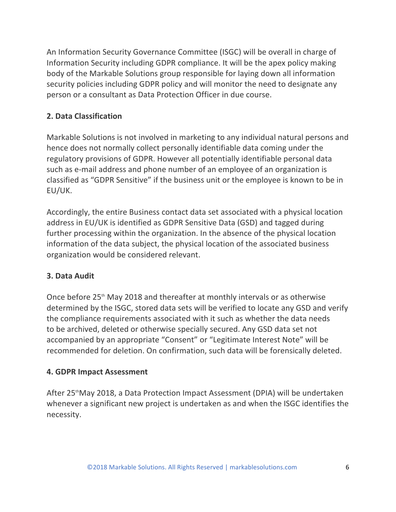An Information Security Governance Committee (ISGC) will be overall in charge of Information Security including GDPR compliance. It will be the apex policy making body of the Markable Solutions group responsible for laying down all information security policies including GDPR policy and will monitor the need to designate any person or a consultant as Data Protection Officer in due course.

# **2. Data Classification**

Markable Solutions is not involved in marketing to any individual natural persons and hence does not normally collect personally identifiable data coming under the regulatory provisions of GDPR. However all potentially identifiable personal data such as e-mail address and phone number of an employee of an organization is classified as "GDPR Sensitive" if the business unit or the employee is known to be in EU/UK.

Accordingly, the entire Business contact data set associated with a physical location address in EU/UK is identified as GDPR Sensitive Data (GSD) and tagged during further processing within the organization. In the absence of the physical location information of the data subject, the physical location of the associated business organization would be considered relevant.

### **3. Data Audit**

Once before  $25<sup>th</sup>$  May 2018 and thereafter at monthly intervals or as otherwise determined by the ISGC, stored data sets will be verified to locate any GSD and verify the compliance requirements associated with it such as whether the data needs to be archived, deleted or otherwise specially secured. Any GSD data set not accompanied by an appropriate "Consent" or "Legitimate Interest Note" will be recommended for deletion. On confirmation, such data will be forensically deleted.

### **4. GDPR Impact Assessment**

After 25<sup>th</sup>May 2018, a Data Protection Impact Assessment (DPIA) will be undertaken whenever a significant new project is undertaken as and when the ISGC identifies the necessity.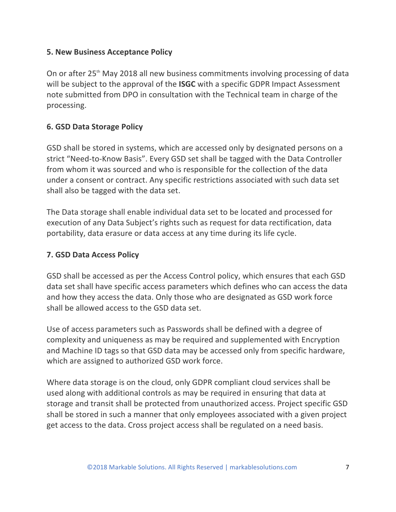#### **5. New Business Acceptance Policy**

On or after  $25<sup>th</sup>$  May 2018 all new business commitments involving processing of data will be subject to the approval of the **ISGC** with a specific GDPR Impact Assessment note submitted from DPO in consultation with the Technical team in charge of the processing.

### **6. GSD Data Storage Policy**

GSD shall be stored in systems, which are accessed only by designated persons on a strict "Need-to-Know Basis". Every GSD set shall be tagged with the Data Controller from whom it was sourced and who is responsible for the collection of the data under a consent or contract. Any specific restrictions associated with such data set shall also be tagged with the data set.

The Data storage shall enable individual data set to be located and processed for execution of any Data Subject's rights such as request for data rectification, data portability, data erasure or data access at any time during its life cycle.

### **7. GSD Data Access Policy**

GSD shall be accessed as per the Access Control policy, which ensures that each GSD data set shall have specific access parameters which defines who can access the data and how they access the data. Only those who are designated as GSD work force shall be allowed access to the GSD data set.

Use of access parameters such as Passwords shall be defined with a degree of complexity and uniqueness as may be required and supplemented with Encryption and Machine ID tags so that GSD data may be accessed only from specific hardware, which are assigned to authorized GSD work force.

Where data storage is on the cloud, only GDPR compliant cloud services shall be used along with additional controls as may be required in ensuring that data at storage and transit shall be protected from unauthorized access. Project specific GSD shall be stored in such a manner that only employees associated with a given project get access to the data. Cross project access shall be regulated on a need basis.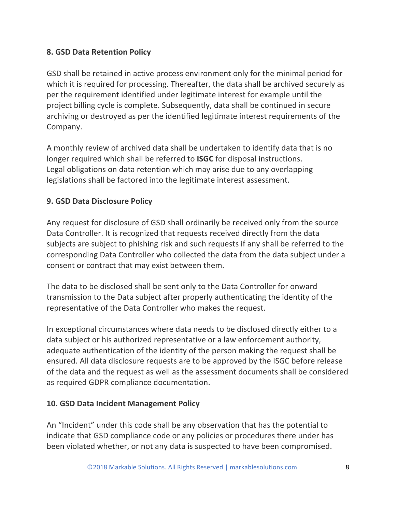# **8. GSD Data Retention Policy**

GSD shall be retained in active process environment only for the minimal period for which it is required for processing. Thereafter, the data shall be archived securely as per the requirement identified under legitimate interest for example until the project billing cycle is complete. Subsequently, data shall be continued in secure archiving or destroyed as per the identified legitimate interest requirements of the Company.

A monthly review of archived data shall be undertaken to identify data that is no longer required which shall be referred to **ISGC** for disposal instructions. Legal obligations on data retention which may arise due to any overlapping legislations shall be factored into the legitimate interest assessment.

### **9. GSD Data Disclosure Policy**

Any request for disclosure of GSD shall ordinarily be received only from the source Data Controller. It is recognized that requests received directly from the data subjects are subject to phishing risk and such requests if any shall be referred to the corresponding Data Controller who collected the data from the data subject under a consent or contract that may exist between them.

The data to be disclosed shall be sent only to the Data Controller for onward transmission to the Data subject after properly authenticating the identity of the representative of the Data Controller who makes the request.

In exceptional circumstances where data needs to be disclosed directly either to a data subject or his authorized representative or a law enforcement authority, adequate authentication of the identity of the person making the request shall be ensured. All data disclosure requests are to be approved by the ISGC before release of the data and the request as well as the assessment documents shall be considered as required GDPR compliance documentation.

### **10. GSD Data Incident Management Policy**

An "Incident" under this code shall be any observation that has the potential to indicate that GSD compliance code or any policies or procedures there under has been violated whether, or not any data is suspected to have been compromised.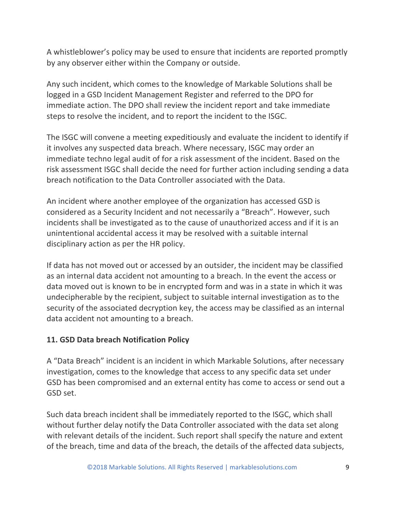A whistleblower's policy may be used to ensure that incidents are reported promptly by any observer either within the Company or outside.

Any such incident, which comes to the knowledge of Markable Solutions shall be logged in a GSD Incident Management Register and referred to the DPO for immediate action. The DPO shall review the incident report and take immediate steps to resolve the incident, and to report the incident to the ISGC.

The ISGC will convene a meeting expeditiously and evaluate the incident to identify if it involves any suspected data breach. Where necessary, ISGC may order an immediate techno legal audit of for a risk assessment of the incident. Based on the risk assessment ISGC shall decide the need for further action including sending a data breach notification to the Data Controller associated with the Data.

An incident where another employee of the organization has accessed GSD is considered as a Security Incident and not necessarily a "Breach". However, such incidents shall be investigated as to the cause of unauthorized access and if it is an unintentional accidental access it may be resolved with a suitable internal disciplinary action as per the HR policy.

If data has not moved out or accessed by an outsider, the incident may be classified as an internal data accident not amounting to a breach. In the event the access or data moved out is known to be in encrypted form and was in a state in which it was undecipherable by the recipient, subject to suitable internal investigation as to the security of the associated decryption key, the access may be classified as an internal data accident not amounting to a breach.

### **11. GSD Data breach Notification Policy**

A "Data Breach" incident is an incident in which Markable Solutions, after necessary investigation, comes to the knowledge that access to any specific data set under GSD has been compromised and an external entity has come to access or send out a GSD set.

Such data breach incident shall be immediately reported to the ISGC, which shall without further delay notify the Data Controller associated with the data set along with relevant details of the incident. Such report shall specify the nature and extent of the breach, time and data of the breach, the details of the affected data subjects,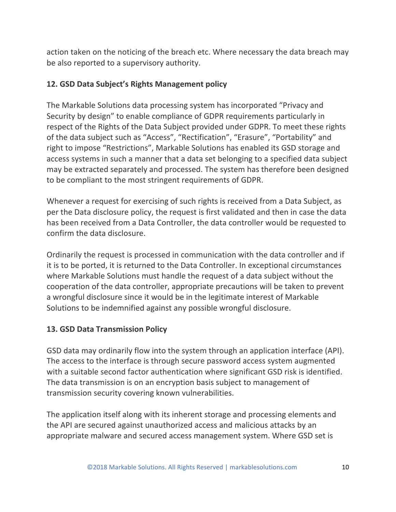action taken on the noticing of the breach etc. Where necessary the data breach may be also reported to a supervisory authority.

### **12. GSD Data Subject's Rights Management policy**

The Markable Solutions data processing system has incorporated "Privacy and Security by design" to enable compliance of GDPR requirements particularly in respect of the Rights of the Data Subject provided under GDPR. To meet these rights of the data subject such as "Access", "Rectification", "Erasure", "Portability" and right to impose "Restrictions", Markable Solutions has enabled its GSD storage and access systems in such a manner that a data set belonging to a specified data subject may be extracted separately and processed. The system has therefore been designed to be compliant to the most stringent requirements of GDPR.

Whenever a request for exercising of such rights is received from a Data Subject, as per the Data disclosure policy, the request is first validated and then in case the data has been received from a Data Controller, the data controller would be requested to confirm the data disclosure.

Ordinarily the request is processed in communication with the data controller and if it is to be ported, it is returned to the Data Controller. In exceptional circumstances where Markable Solutions must handle the request of a data subject without the cooperation of the data controller, appropriate precautions will be taken to prevent a wrongful disclosure since it would be in the legitimate interest of Markable Solutions to be indemnified against any possible wrongful disclosure.

### **13. GSD Data Transmission Policy**

GSD data may ordinarily flow into the system through an application interface (API). The access to the interface is through secure password access system augmented with a suitable second factor authentication where significant GSD risk is identified. The data transmission is on an encryption basis subject to management of transmission security covering known vulnerabilities.

The application itself along with its inherent storage and processing elements and the API are secured against unauthorized access and malicious attacks by an appropriate malware and secured access management system. Where GSD set is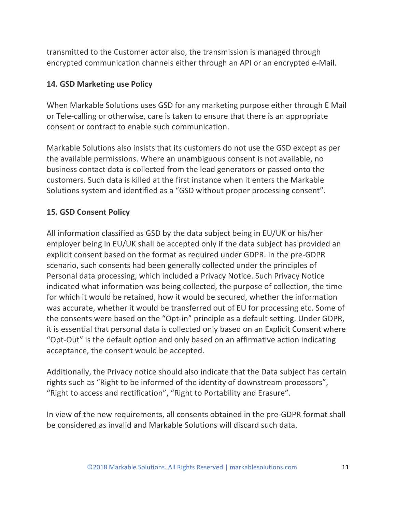transmitted to the Customer actor also, the transmission is managed through encrypted communication channels either through an API or an encrypted e-Mail.

### **14. GSD Marketing use Policy**

When Markable Solutions uses GSD for any marketing purpose either through E Mail or Tele-calling or otherwise, care is taken to ensure that there is an appropriate consent or contract to enable such communication.

Markable Solutions also insists that its customers do not use the GSD except as per the available permissions. Where an unambiguous consent is not available, no business contact data is collected from the lead generators or passed onto the customers. Such data is killed at the first instance when it enters the Markable Solutions system and identified as a "GSD without proper processing consent".

# **15. GSD Consent Policy**

All information classified as GSD by the data subject being in EU/UK or his/her employer being in EU/UK shall be accepted only if the data subject has provided an explicit consent based on the format as required under GDPR. In the pre-GDPR scenario, such consents had been generally collected under the principles of Personal data processing, which included a Privacy Notice. Such Privacy Notice indicated what information was being collected, the purpose of collection, the time for which it would be retained, how it would be secured, whether the information was accurate, whether it would be transferred out of EU for processing etc. Some of the consents were based on the "Opt-in" principle as a default setting. Under GDPR, it is essential that personal data is collected only based on an Explicit Consent where "Opt-Out" is the default option and only based on an affirmative action indicating acceptance, the consent would be accepted.

Additionally, the Privacy notice should also indicate that the Data subject has certain rights such as "Right to be informed of the identity of downstream processors", "Right to access and rectification", "Right to Portability and Erasure".

In view of the new requirements, all consents obtained in the pre-GDPR format shall be considered as invalid and Markable Solutions will discard such data.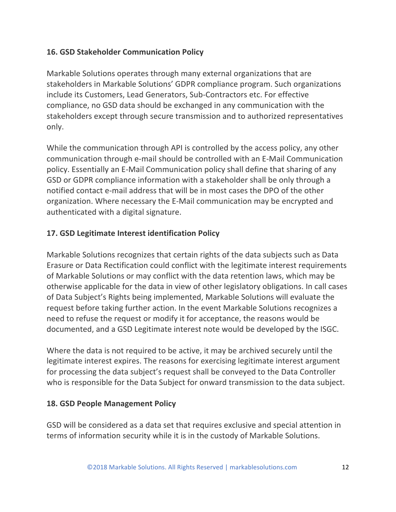### **16. GSD Stakeholder Communication Policy**

Markable Solutions operates through many external organizations that are stakeholders in Markable Solutions' GDPR compliance program. Such organizations include its Customers, Lead Generators, Sub-Contractors etc. For effective compliance, no GSD data should be exchanged in any communication with the stakeholders except through secure transmission and to authorized representatives only.

While the communication through API is controlled by the access policy, any other communication through e-mail should be controlled with an E-Mail Communication policy. Essentially an E-Mail Communication policy shall define that sharing of any GSD or GDPR compliance information with a stakeholder shall be only through a notified contact e-mail address that will be in most cases the DPO of the other organization. Where necessary the E-Mail communication may be encrypted and authenticated with a digital signature.

## **17. GSD Legitimate Interest identification Policy**

Markable Solutions recognizes that certain rights of the data subjects such as Data Erasure or Data Rectification could conflict with the legitimate interest requirements of Markable Solutions or may conflict with the data retention laws, which may be otherwise applicable for the data in view of other legislatory obligations. In call cases of Data Subject's Rights being implemented, Markable Solutions will evaluate the request before taking further action. In the event Markable Solutions recognizes a need to refuse the request or modify it for acceptance, the reasons would be documented, and a GSD Legitimate interest note would be developed by the ISGC.

Where the data is not required to be active, it may be archived securely until the legitimate interest expires. The reasons for exercising legitimate interest argument for processing the data subject's request shall be conveyed to the Data Controller who is responsible for the Data Subject for onward transmission to the data subject.

### **18. GSD People Management Policy**

GSD will be considered as a data set that requires exclusive and special attention in terms of information security while it is in the custody of Markable Solutions.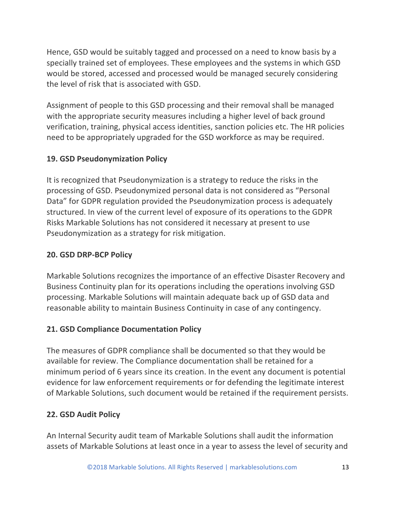Hence, GSD would be suitably tagged and processed on a need to know basis by a specially trained set of employees. These employees and the systems in which GSD would be stored, accessed and processed would be managed securely considering the level of risk that is associated with GSD.

Assignment of people to this GSD processing and their removal shall be managed with the appropriate security measures including a higher level of back ground verification, training, physical access identities, sanction policies etc. The HR policies need to be appropriately upgraded for the GSD workforce as may be required.

# **19. GSD Pseudonymization Policy**

It is recognized that Pseudonymization is a strategy to reduce the risks in the processing of GSD. Pseudonymized personal data is not considered as "Personal Data" for GDPR regulation provided the Pseudonymization process is adequately structured. In view of the current level of exposure of its operations to the GDPR Risks Markable Solutions has not considered it necessary at present to use Pseudonymization as a strategy for risk mitigation.

### **20. GSD DRP-BCP Policy**

Markable Solutions recognizes the importance of an effective Disaster Recovery and Business Continuity plan for its operations including the operations involving GSD processing. Markable Solutions will maintain adequate back up of GSD data and reasonable ability to maintain Business Continuity in case of any contingency.

# **21. GSD Compliance Documentation Policy**

The measures of GDPR compliance shall be documented so that they would be available for review. The Compliance documentation shall be retained for a minimum period of 6 years since its creation. In the event any document is potential evidence for law enforcement requirements or for defending the legitimate interest of Markable Solutions, such document would be retained if the requirement persists.

# **22. GSD Audit Policy**

An Internal Security audit team of Markable Solutions shall audit the information assets of Markable Solutions at least once in a year to assess the level of security and